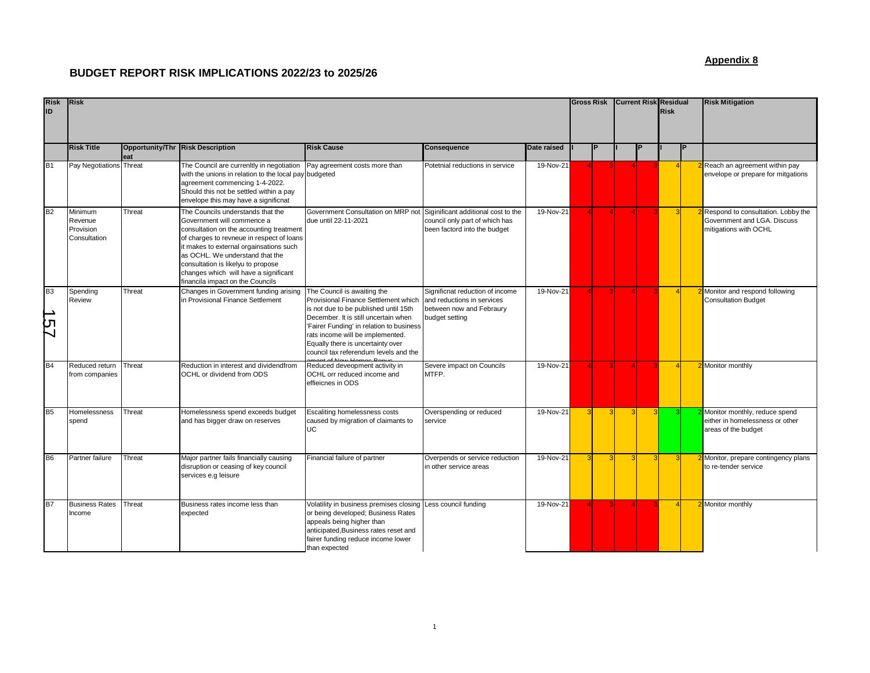## **BUDGET REPORT RISK IMPLICATIONS 2022/23 to 2025/26**

## **Appendix 8**

| <b>Risk</b><br>ID    | <b>Risk</b>                                     |        |                                                                                                                                                                                                                                                                                                                                                           |                                                                                                                                                                                                                                                                                                                    |                                                                                                             |             |   | <b>Gross Risk</b> |  | <b>Current Risk Residual</b><br><b>Risk</b> |  | <b>Risk Mitigation</b>                                                                     |
|----------------------|-------------------------------------------------|--------|-----------------------------------------------------------------------------------------------------------------------------------------------------------------------------------------------------------------------------------------------------------------------------------------------------------------------------------------------------------|--------------------------------------------------------------------------------------------------------------------------------------------------------------------------------------------------------------------------------------------------------------------------------------------------------------------|-------------------------------------------------------------------------------------------------------------|-------------|---|-------------------|--|---------------------------------------------|--|--------------------------------------------------------------------------------------------|
|                      | <b>Risk Title</b>                               | eat    | Opportunity/Thr Risk Description                                                                                                                                                                                                                                                                                                                          | <b>Risk Cause</b>                                                                                                                                                                                                                                                                                                  | Consequence                                                                                                 | Date raised |   | P                 |  |                                             |  |                                                                                            |
| B <sub>1</sub>       | Pay Negotiations Threat                         |        | The Council are currenltly in negotiation<br>with the unions in relation to the local pay budgeted<br>agreement commencing 1-4-2022.<br>Should this not be settled within a pay<br>envelope this may have a significnat                                                                                                                                   | Pay agreement costs more than                                                                                                                                                                                                                                                                                      | Potetnial reductions in service                                                                             | 19-Nov-21   |   |                   |  |                                             |  | Reach an agreement within pay<br>envelope or prepare for mitgations                        |
| B2                   | Minimum<br>Revenue<br>Provision<br>Consultation | Threat | The Councils understands that the<br>Government will commence a<br>consultation on the accounting treatment<br>of charges to revneue in respect of loans<br>it makes to external orgainsations such<br>as OCHL. We understand that the<br>consultation is likelyu to propose<br>changes which will have a significant<br>financila impact on the Councils | Government Consultation on MRP not Siginificant additional cost to the<br>due until 22-11-2021                                                                                                                                                                                                                     | council only part of which has<br>been factord into the budget                                              | 19-Nov-21   |   |                   |  |                                             |  | Respond to consultation. Lobby the<br>Government and LGA. Discuss<br>mitigations with OCHL |
| B <sub>3</sub><br>29 | Spending<br>Review                              | Threat | Changes in Government funding arising<br>in Provisional Finance Settlement                                                                                                                                                                                                                                                                                | The Council is awaiting the<br>Provisional Finance Settlement which<br>is not due to be published until 15th<br>December. It is still uncertain when<br>'Fairer Funding' in relation to business<br>rats income will be implemented.<br>Equally there is uncertainty over<br>council tax referendum levels and the | Significnat reduction of income<br>and reductions in services<br>between now and Febraury<br>budget setting | 19-Nov-21   |   |                   |  |                                             |  | Monitor and respond following<br><b>Consultation Budget</b>                                |
| B <sub>4</sub>       | Reduced return<br>from companies                | Threat | Reduction in interest and dividendfrom<br>OCHL or dividend from ODS                                                                                                                                                                                                                                                                                       | Reduced deveopment activity in<br>OCHL orr reduced income and<br>effieicnes in ODS                                                                                                                                                                                                                                 | Severe impact on Councils<br>MTFP.                                                                          | 19-Nov-21   |   |                   |  |                                             |  | Monitor monthly                                                                            |
| B <sub>5</sub>       | Homelessness<br>spend                           | Threat | Homelessness spend exceeds budget<br>and has bigger draw on reserves                                                                                                                                                                                                                                                                                      | Escaliting homelessness costs<br>caused by migration of claimants to<br>UC.                                                                                                                                                                                                                                        | Overspending or reduced<br>service                                                                          | 19-Nov-21   | 3 |                   |  | 3                                           |  | Monitor monthly, reduce spend<br>either in homelessness or other<br>areas of the budget    |
| <b>B6</b>            | Partner failure                                 | Threat | Major partner fails financially causing<br>disruption or ceasing of key council<br>services e.g leisure                                                                                                                                                                                                                                                   | Financial failure of partner                                                                                                                                                                                                                                                                                       | Overpends or service reduction<br>in other service areas                                                    | 19-Nov-21   |   |                   |  | $\overline{\mathbf{3}}$                     |  | Monitor, prepare contingency plans<br>to re-tender service                                 |
| B7                   | <b>Business Rates</b><br>Income                 | Threat | Business rates income less than<br>expected                                                                                                                                                                                                                                                                                                               | Volatility in business premises closing<br>or being developed; Business Rates<br>appeals being higher than<br>anticipated, Business rates reset and<br>fairer funding reduce income lower<br>than expected                                                                                                         | Less council funding                                                                                        | 19-Nov-21   |   |                   |  |                                             |  | Monitor monthly                                                                            |